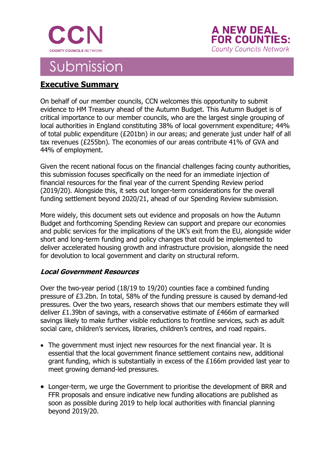



# Submission

### **Executive Summary**

On behalf of our member councils, CCN welcomes this opportunity to submit evidence to HM Treasury ahead of the Autumn Budget. This Autumn Budget is of critical importance to our member councils, who are the largest single grouping of local authorities in England constituting 38% of local government expenditure; 44% of total public expenditure (£201bn) in our areas; and generate just under half of all tax revenues (£255bn). The economies of our areas contribute 41% of GVA and 44% of employment.

Given the recent national focus on the financial challenges facing county authorities, this submission focuses specifically on the need for an immediate injection of financial resources for the final year of the current Spending Review period (2019/20). Alongside this, it sets out longer-term considerations for the overall funding settlement beyond 2020/21, ahead of our Spending Review submission.

More widely, this document sets out evidence and proposals on how the Autumn Budget and forthcoming Spending Review can support and prepare our economies and public services for the implications of the UK's exit from the EU, alongside wider short and long-term funding and policy changes that could be implemented to deliver accelerated housing growth and infrastructure provision, alongside the need for devolution to local government and clarity on structural reform.

### **Local Government Resources**

Over the two-year period (18/19 to 19/20) counties face a combined funding pressure of £3.2bn. In total, 58% of the funding pressure is caused by demand-led pressures. Over the two years, research shows that our members estimate they will deliver £1.39bn of savings, with a conservative estimate of £466m of earmarked savings likely to make further visible reductions to frontline services, such as adult social care, children's services, libraries, children's centres, and road repairs.

- The government must inject new resources for the next financial year. It is essential that the local government finance settlement contains new, additional grant funding, which is substantially in excess of the £166m provided last year to meet growing demand-led pressures.
- Longer-term, we urge the Government to prioritise the development of BRR and FFR proposals and ensure indicative new funding allocations are published as soon as possible during 2019 to help local authorities with financial planning beyond 2019/20.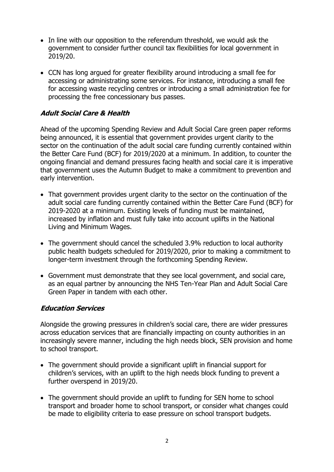- In line with our opposition to the referendum threshold, we would ask the government to consider further council tax flexibilities for local government in 2019/20.
- CCN has long argued for greater flexibility around introducing a small fee for accessing or administrating some services. For instance, introducing a small fee for accessing waste recycling centres or introducing a small administration fee for processing the free concessionary bus passes.

### **Adult Social Care & Health**

Ahead of the upcoming Spending Review and Adult Social Care green paper reforms being announced, it is essential that government provides urgent clarity to the sector on the continuation of the adult social care funding currently contained within the Better Care Fund (BCF) for 2019/2020 at a minimum. In addition, to counter the ongoing financial and demand pressures facing health and social care it is imperative that government uses the Autumn Budget to make a commitment to prevention and early intervention.

- That government provides urgent clarity to the sector on the continuation of the adult social care funding currently contained within the Better Care Fund (BCF) for 2019-2020 at a minimum. Existing levels of funding must be maintained, increased by inflation and must fully take into account uplifts in the National Living and Minimum Wages.
- The government should cancel the scheduled 3.9% reduction to local authority public health budgets scheduled for 2019/2020, prior to making a commitment to longer-term investment through the forthcoming Spending Review.
- Government must demonstrate that they see local government, and social care, as an equal partner by announcing the NHS Ten-Year Plan and Adult Social Care Green Paper in tandem with each other.

### **Education Services**

Alongside the growing pressures in children's social care, there are wider pressures across education services that are financially impacting on county authorities in an increasingly severe manner, including the high needs block, SEN provision and home to school transport.

- The government should provide a significant uplift in financial support for children's services, with an uplift to the high needs block funding to prevent a further overspend in 2019/20.
- The government should provide an uplift to funding for SEN home to school transport and broader home to school transport, or consider what changes could be made to eligibility criteria to ease pressure on school transport budgets.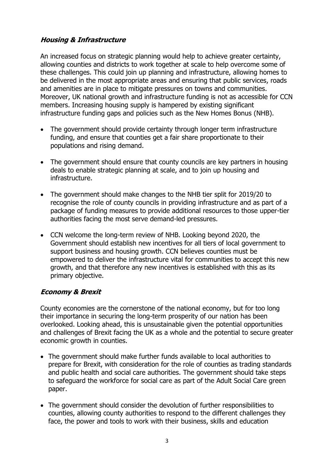### **Housing & Infrastructure**

An increased focus on strategic planning would help to achieve greater certainty, allowing counties and districts to work together at scale to help overcome some of these challenges. This could join up planning and infrastructure, allowing homes to be delivered in the most appropriate areas and ensuring that public services, roads and amenities are in place to mitigate pressures on towns and communities. Moreover, UK national growth and infrastructure funding is not as accessible for CCN members. Increasing housing supply is hampered by existing significant infrastructure funding gaps and policies such as the New Homes Bonus (NHB).

- The government should provide certainty through longer term infrastructure funding, and ensure that counties get a fair share proportionate to their populations and rising demand.
- The government should ensure that county councils are key partners in housing deals to enable strategic planning at scale, and to join up housing and infrastructure.
- The government should make changes to the NHB tier split for 2019/20 to recognise the role of county councils in providing infrastructure and as part of a package of funding measures to provide additional resources to those upper-tier authorities facing the most serve demand-led pressures.
- CCN welcome the long-term review of NHB. Looking beyond 2020, the Government should establish new incentives for all tiers of local government to support business and housing growth. CCN believes counties must be empowered to deliver the infrastructure vital for communities to accept this new growth, and that therefore any new incentives is established with this as its primary objective.

### **Economy & Brexit**

County economies are the cornerstone of the national economy, but for too long their importance in securing the long-term prosperity of our nation has been overlooked. Looking ahead, this is unsustainable given the potential opportunities and challenges of Brexit facing the UK as a whole and the potential to secure greater economic growth in counties.

- The government should make further funds available to local authorities to prepare for Brexit, with consideration for the role of counties as trading standards and public health and social care authorities. The government should take steps to safeguard the workforce for social care as part of the Adult Social Care green paper.
- The government should consider the devolution of further responsibilities to counties, allowing county authorities to respond to the different challenges they face, the power and tools to work with their business, skills and education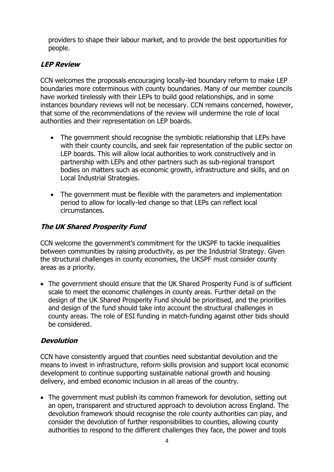providers to shape their labour market, and to provide the best opportunities for people.

### **LEP Review**

CCN welcomes the proposals encouraging locally-led boundary reform to make LEP boundaries more coterminous with county boundaries. Many of our member councils have worked tirelessly with their LEPs to build good relationships, and in some instances boundary reviews will not be necessary. CCN remains concerned, however, that some of the recommendations of the review will undermine the role of local authorities and their representation on LEP boards.

- The government should recognise the symbiotic relationship that LEPs have with their county councils, and seek fair representation of the public sector on LEP boards. This will allow local authorities to work constructively and in partnership with LEPs and other partners such as sub-regional transport bodies on matters such as economic growth, infrastructure and skills, and on Local Industrial Strategies.
- The government must be flexible with the parameters and implementation period to allow for locally-led change so that LEPs can reflect local circumstances.

### **The UK Shared Prosperity Fund**

CCN welcome the government's commitment for the UKSPF to tackle inequalities between communities by raising productivity, as per the Industrial Strategy. Given the structural challenges in county economies, the UKSPF must consider county areas as a priority.

• The government should ensure that the UK Shared Prosperity Fund is of sufficient scale to meet the economic challenges in county areas. Further detail on the design of the UK Shared Prosperity Fund should be prioritised, and the priorities and design of the fund should take into account the structural challenges in county areas. The role of ESI funding in match-funding against other bids should be considered.

### **Devolution**

CCN have consistently argued that counties need substantial devolution and the means to invest in infrastructure, reform skills provision and support local economic development to continue supporting sustainable national growth and housing delivery, and embed economic inclusion in all areas of the country.

• The government must publish its common framework for devolution, setting out an open, transparent and structured approach to devolution across England. The devolution framework should recognise the role county authorities can play, and consider the devolution of further responsibilities to counties, allowing county authorities to respond to the different challenges they face, the power and tools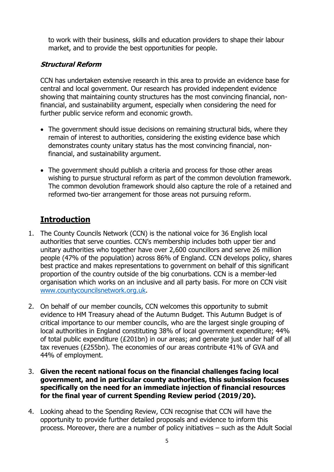to work with their business, skills and education providers to shape their labour market, and to provide the best opportunities for people.

### **Structural Reform**

CCN has undertaken extensive research in this area to provide an evidence base for central and local government. Our research has provided independent evidence showing that maintaining county structures has the most convincing financial, nonfinancial, and sustainability argument, especially when considering the need for further public service reform and economic growth.

- The government should issue decisions on remaining structural bids, where they remain of interest to authorities, considering the existing evidence base which demonstrates county unitary status has the most convincing financial, nonfinancial, and sustainability argument.
- The government should publish a criteria and process for those other areas wishing to pursue structural reform as part of the common devolution framework. The common devolution framework should also capture the role of a retained and reformed two-tier arrangement for those areas not pursuing reform.

### **Introduction**

- 1. The County Councils Network (CCN) is the national voice for 36 English local authorities that serve counties. CCN's membership includes both upper tier and unitary authorities who together have over 2,600 councillors and serve 26 million people (47% of the population) across 86% of England. CCN develops policy, shares best practice and makes representations to government on behalf of this significant proportion of the country outside of the big conurbations. CCN is a member-led organisation which works on an inclusive and all party basis. For more on CCN visit [www.countycouncilsnetwork.org.uk.](http://www.countycouncilsnetwork.org.uk/)
- 2. On behalf of our member councils, CCN welcomes this opportunity to submit evidence to HM Treasury ahead of the Autumn Budget. This Autumn Budget is of critical importance to our member councils, who are the largest single grouping of local authorities in England constituting 38% of local government expenditure; 44% of total public expenditure (£201bn) in our areas; and generate just under half of all tax revenues (£255bn). The economies of our areas contribute 41% of GVA and 44% of employment.
- 3. **Given the recent national focus on the financial challenges facing local government, and in particular county authorities, this submission focuses specifically on the need for an immediate injection of financial resources for the final year of current Spending Review period (2019/20).**
- 4. Looking ahead to the Spending Review, CCN recognise that CCN will have the opportunity to provide further detailed proposals and evidence to inform this process. Moreover, there are a number of policy initiatives – such as the Adult Social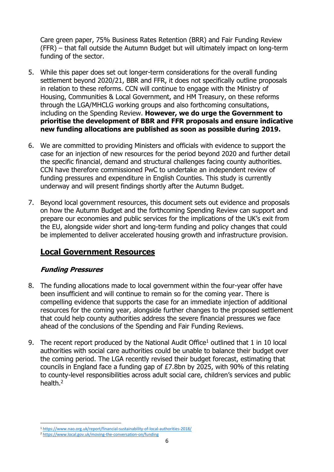Care green paper, 75% Business Rates Retention (BRR) and Fair Funding Review (FFR) – that fall outside the Autumn Budget but will ultimately impact on long-term funding of the sector.

- 5. While this paper does set out longer-term considerations for the overall funding settlement beyond 2020/21, BBR and FFR, it does not specifically outline proposals in relation to these reforms. CCN will continue to engage with the Ministry of Housing, Communities & Local Government, and HM Treasury, on these reforms through the LGA/MHCLG working groups and also forthcoming consultations, including on the Spending Review. **However, we do urge the Government to prioritise the development of BBR and FFR proposals and ensure indicative new funding allocations are published as soon as possible during 2019.**
- 6. We are committed to providing Ministers and officials with evidence to support the case for an injection of new resources for the period beyond 2020 and further detail the specific financial, demand and structural challenges facing county authorities. CCN have therefore commissioned PwC to undertake an independent review of funding pressures and expenditure in English Counties. This study is currently underway and will present findings shortly after the Autumn Budget.
- 7. Beyond local government resources, this document sets out evidence and proposals on how the Autumn Budget and the forthcoming Spending Review can support and prepare our economies and public services for the implications of the UK's exit from the EU, alongside wider short and long-term funding and policy changes that could be implemented to deliver accelerated housing growth and infrastructure provision.

### **Local Government Resources**

### **Funding Pressures**

- 8. The funding allocations made to local government within the four-year offer have been insufficient and will continue to remain so for the coming year. There is compelling evidence that supports the case for an immediate injection of additional resources for the coming year, alongside further changes to the proposed settlement that could help county authorities address the severe financial pressures we face ahead of the conclusions of the Spending and Fair Funding Reviews.
- 9. The recent report produced by the National Audit Office<sup>1</sup> outlined that 1 in 10 local authorities with social care authorities could be unable to balance their budget over the coming period. The LGA recently revised their budget forecast, estimating that councils in England face a funding gap of £7.8bn by 2025, with 90% of this relating to county-level responsibilities across adult social care, children's services and public health.<sup>2</sup>

**<sup>.</sup>** <sup>1</sup> <https://www.nao.org.uk/report/financial-sustainability-of-local-authorities-2018/>

<sup>2</sup> <https://www.local.gov.uk/moving-the-conversation-on/funding>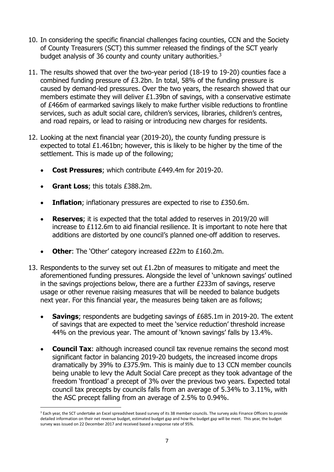- 10. In considering the specific financial challenges facing counties, CCN and the Society of County Treasurers (SCT) this summer released the findings of the SCT yearly budget analysis of 36 county and county unitary authorities.<sup>3</sup>
- 11. The results showed that over the two-year period (18-19 to 19-20) counties face a combined funding pressure of £3.2bn. In total, 58% of the funding pressure is caused by demand-led pressures. Over the two years, the research showed that our members estimate they will deliver £1.39bn of savings, with a conservative estimate of £466m of earmarked savings likely to make further visible reductions to frontline services, such as adult social care, children's services, libraries, children's centres, and road repairs, or lead to raising or introducing new charges for residents.
- 12. Looking at the next financial year (2019-20), the county funding pressure is expected to total £1.461bn; however, this is likely to be higher by the time of the settlement. This is made up of the following;
	- **Cost Pressures**; which contribute £449.4m for 2019-20.
	- **Grant Loss**; this totals £388.2m.

 $\overline{a}$ 

- **Inflation**; inflationary pressures are expected to rise to £350.6m.
- **Reserves**; it is expected that the total added to reserves in 2019/20 will increase to £112.6m to aid financial resilience. It is important to note here that additions are distorted by one council's planned one-off addition to reserves.
- **Other**: The 'Other' category increased £22m to £160.2m.
- 13. Respondents to the survey set out £1.2bn of measures to mitigate and meet the aforementioned funding pressures. Alongside the level of 'unknown savings' outlined in the savings projections below, there are a further £233m of savings, reserve usage or other revenue raising measures that will be needed to balance budgets next year. For this financial year, the measures being taken are as follows;
	- **Savings**; respondents are budgeting savings of £685.1m in 2019-20. The extent of savings that are expected to meet the 'service reduction' threshold increase 44% on the previous year. The amount of 'known savings' falls by 13.4%.
	- **Council Tax**: although increased council tax revenue remains the second most significant factor in balancing 2019-20 budgets, the increased income drops dramatically by 39% to £375.9m. This is mainly due to 13 CCN member councils being unable to levy the Adult Social Care precept as they took advantage of the freedom 'frontload' a precept of 3% over the previous two years. Expected total council tax precepts by councils falls from an average of 5.34% to 3.11%, with the ASC precept falling from an average of 2.5% to 0.94%.

<sup>&</sup>lt;sup>3</sup> Each year, the SCT undertake an Excel spreadsheet based survey of its 38 member councils. The survey asks Finance Officers to provide detailed information on their net revenue budget, estimated budget gap and how the budget gap will be meet. This year, the budget survey was issued on 22 December 2017 and received based a response rate of 95%.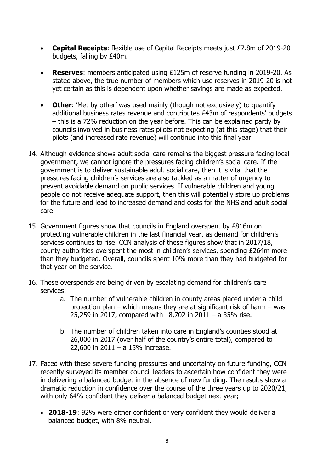- **Capital Receipts**: flexible use of Capital Receipts meets just £7.8m of 2019-20 budgets, falling by £40m.
- **Reserves**: members anticipated using £125m of reserve funding in 2019-20. As stated above, the true number of members which use reserves in 2019-20 is not yet certain as this is dependent upon whether savings are made as expected.
- **Other**: 'Met by other' was used mainly (though not exclusively) to quantify additional business rates revenue and contributes £43m of respondents' budgets – this is a 72% reduction on the year before. This can be explained partly by councils involved in business rates pilots not expecting (at this stage) that their pilots (and increased rate revenue) will continue into this final year.
- 14. Although evidence shows adult social care remains the biggest pressure facing local government, we cannot ignore the pressures facing children's social care. If the government is to deliver sustainable adult social care, then it is vital that the pressures facing children's services are also tackled as a matter of urgency to prevent avoidable demand on public services. If vulnerable children and young people do not receive adequate support, then this will potentially store up problems for the future and lead to increased demand and costs for the NHS and adult social care.
- 15. Government figures show that councils in England overspent by £816m on protecting vulnerable children in the last financial year, as demand for children's services continues to rise. CCN analysis of these figures show that in 2017/18, county authorities overspent the most in children's services, spending £264m more than they budgeted. Overall, councils spent 10% more than they had budgeted for that year on the service.
- 16. These overspends are being driven by escalating demand for children's care services:
	- a. The number of vulnerable children in county areas placed under a child protection plan – which means they are at significant risk of harm – was 25,259 in 2017, compared with 18,702 in 2011 – a 35% rise.
	- b. The number of children taken into care in England's counties stood at 26,000 in 2017 (over half of the country's entire total), compared to 22,600 in 2011 – a 15% increase.
- 17. Faced with these severe funding pressures and uncertainty on future funding, CCN recently surveyed its member council leaders to ascertain how confident they were in delivering a balanced budget in the absence of new funding. The results show a dramatic reduction in confidence over the course of the three years up to 2020/21, with only 64% confident they deliver a balanced budget next year;
	- **2018-19**: 92% were either confident or very confident they would deliver a balanced budget, with 8% neutral.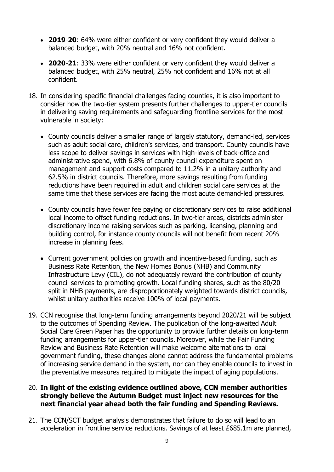- **2019**-**20**: 64% were either confident or very confident they would deliver a balanced budget, with 20% neutral and 16% not confident.
- **2020**-**21**: 33% were either confident or very confident they would deliver a balanced budget, with 25% neutral, 25% not confident and 16% not at all confident.
- 18. In considering specific financial challenges facing counties, it is also important to consider how the two-tier system presents further challenges to upper-tier councils in delivering saving requirements and safeguarding frontline services for the most vulnerable in society:
	- County councils deliver a smaller range of largely statutory, demand-led, services such as adult social care, children's services, and transport. County councils have less scope to deliver savings in services with high-levels of back-office and administrative spend, with 6.8% of county council expenditure spent on management and support costs compared to 11.2% in a unitary authority and 62.5% in district councils. Therefore, more savings resulting from funding reductions have been required in adult and children social care services at the same time that these services are facing the most acute demand-led pressures.
	- County councils have fewer fee paying or discretionary services to raise additional local income to offset funding reductions. In two-tier areas, districts administer discretionary income raising services such as parking, licensing, planning and building control, for instance county councils will not benefit from recent 20% increase in planning fees.
	- Current government policies on growth and incentive-based funding, such as Business Rate Retention, the New Homes Bonus (NHB) and Community Infrastructure Levy (CIL), do not adequately reward the contribution of county council services to promoting growth. Local funding shares, such as the 80/20 split in NHB payments, are disproportionately weighted towards district councils, whilst unitary authorities receive 100% of local payments.
- 19. CCN recognise that long-term funding arrangements beyond 2020/21 will be subject to the outcomes of Spending Review. The publication of the long-awaited Adult Social Care Green Paper has the opportunity to provide further details on long-term funding arrangements for upper-tier councils. Moreover, while the Fair Funding Review and Business Rate Retention will make welcome alternations to local government funding, these changes alone cannot address the fundamental problems of increasing service demand in the system, nor can they enable councils to invest in the preventative measures required to mitigate the impact of aging populations.

#### 20. **In light of the existing evidence outlined above, CCN member authorities strongly believe the Autumn Budget must inject new resources for the next financial year ahead both the fair funding and Spending Reviews.**

21. The CCN/SCT budget analysis demonstrates that failure to do so will lead to an acceleration in frontline service reductions. Savings of at least £685.1m are planned,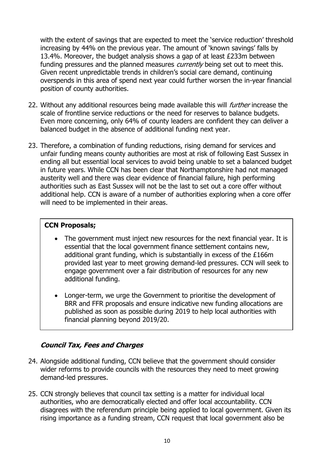with the extent of savings that are expected to meet the 'service reduction' threshold increasing by 44% on the previous year. The amount of 'known savings' falls by 13.4%. Moreover, the budget analysis shows a gap of at least £233m between funding pressures and the planned measures *currently* being set out to meet this. Given recent unpredictable trends in children's social care demand, continuing overspends in this area of spend next year could further worsen the in-year financial position of county authorities.

- 22. Without any additional resources being made available this will *further* increase the scale of frontline service reductions or the need for reserves to balance budgets. Even more concerning, only 64% of county leaders are confident they can deliver a balanced budget in the absence of additional funding next year.
- 23. Therefore, a combination of funding reductions, rising demand for services and unfair funding means county authorities are most at risk of following East Sussex in ending all but essential local services to avoid being unable to set a balanced budget in future years. While CCN has been clear that Northamptonshire had not managed austerity well and there was clear evidence of financial failure, high performing authorities such as East Sussex will not be the last to set out a core offer without additional help. CCN is aware of a number of authorities exploring when a core offer will need to be implemented in their areas.

### **CCN Proposals;**

- The government must inject new resources for the next financial year. It is essential that the local government finance settlement contains new, additional grant funding, which is substantially in excess of the £166m provided last year to meet growing demand-led pressures. CCN will seek to engage government over a fair distribution of resources for any new additional funding.
- Longer-term, we urge the Government to prioritise the development of BRR and FFR proposals and ensure indicative new funding allocations are published as soon as possible during 2019 to help local authorities with financial planning beyond 2019/20.

### **Council Tax, Fees and Charges**

- 24. Alongside additional funding, CCN believe that the government should consider wider reforms to provide councils with the resources they need to meet growing demand-led pressures.
- 25. CCN strongly believes that council tax setting is a matter for individual local authorities, who are democratically elected and offer local accountability. CCN disagrees with the referendum principle being applied to local government. Given its rising importance as a funding stream, CCN request that local government also be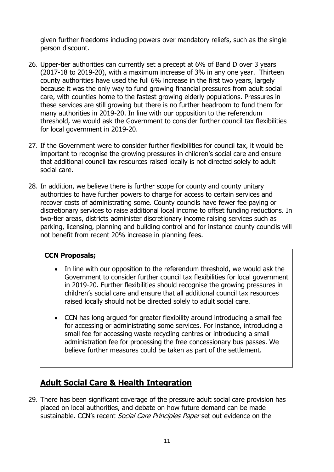given further freedoms including powers over mandatory reliefs, such as the single person discount.

- 26. Upper-tier authorities can currently set a precept at 6% of Band D over 3 years (2017-18 to 2019-20), with a maximum increase of 3% in any one year. Thirteen county authorities have used the full 6% increase in the first two years, largely because it was the only way to fund growing financial pressures from adult social care, with counties home to the fastest growing elderly populations. Pressures in these services are still growing but there is no further headroom to fund them for many authorities in 2019-20. In line with our opposition to the referendum threshold, we would ask the Government to consider further council tax flexibilities for local government in 2019-20.
- 27. If the Government were to consider further flexibilities for council tax, it would be important to recognise the growing pressures in children's social care and ensure that additional council tax resources raised locally is not directed solely to adult social care.
- 28. In addition, we believe there is further scope for county and county unitary authorities to have further powers to charge for access to certain services and recover costs of administrating some. County councils have fewer fee paying or discretionary services to raise additional local income to offset funding reductions. In two-tier areas, districts administer discretionary income raising services such as parking, licensing, planning and building control and for instance county councils will not benefit from recent 20% increase in planning fees.

### **CCN Proposals;**

- In line with our opposition to the referendum threshold, we would ask the Government to consider further council tax flexibilities for local government in 2019-20. Further flexibilities should recognise the growing pressures in children's social care and ensure that all additional council tax resources raised locally should not be directed solely to adult social care.
- CCN has long argued for greater flexibility around introducing a small fee for accessing or administrating some services. For instance, introducing a small fee for accessing waste recycling centres or introducing a small administration fee for processing the free concessionary bus passes. We believe further measures could be taken as part of the settlement.

# **Adult Social Care & Health Integration**

29. There has been significant coverage of the pressure adult social care provision has placed on local authorities, and debate on how future demand can be made sustainable. CCN's recent Social Care Principles Paper set out evidence on the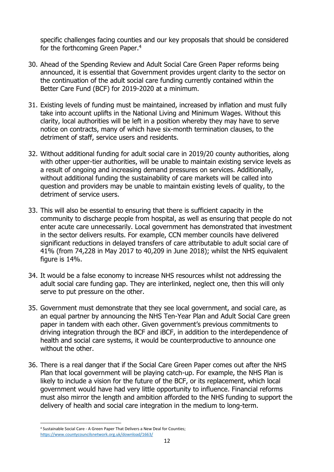specific challenges facing counties and our key proposals that should be considered for the forthcoming Green Paper.<sup>4</sup>

- 30. Ahead of the Spending Review and Adult Social Care Green Paper reforms being announced, it is essential that Government provides urgent clarity to the sector on the continuation of the adult social care funding currently contained within the Better Care Fund (BCF) for 2019-2020 at a minimum.
- 31. Existing levels of funding must be maintained, increased by inflation and must fully take into account uplifts in the National Living and Minimum Wages. Without this clarity, local authorities will be left in a position whereby they may have to serve notice on contracts, many of which have six-month termination clauses, to the detriment of staff, service users and residents.
- 32. Without additional funding for adult social care in 2019/20 county authorities, along with other upper-tier authorities, will be unable to maintain existing service levels as a result of ongoing and increasing demand pressures on services. Additionally, without additional funding the sustainability of care markets will be called into question and providers may be unable to maintain existing levels of quality, to the detriment of service users.
- 33. This will also be essential to ensuring that there is sufficient capacity in the community to discharge people from hospital, as well as ensuring that people do not enter acute care unnecessarily. Local government has demonstrated that investment in the sector delivers results. For example, CCN member councils have delivered significant reductions in delayed transfers of care attributable to adult social care of 41% (from 74,228 in May 2017 to 40,209 in June 2018); whilst the NHS equivalent figure is 14%.
- 34. It would be a false economy to increase NHS resources whilst not addressing the adult social care funding gap. They are interlinked, neglect one, then this will only serve to put pressure on the other.
- 35. Government must demonstrate that they see local government, and social care, as an equal partner by announcing the NHS Ten-Year Plan and Adult Social Care green paper in tandem with each other. Given government's previous commitments to driving integration through the BCF and iBCF, in addition to the interdependence of health and social care systems, it would be counterproductive to announce one without the other.
- 36. There is a real danger that if the Social Care Green Paper comes out after the NHS Plan that local government will be playing catch-up. For example, the NHS Plan is likely to include a vision for the future of the BCF, or its replacement, which local government would have had very little opportunity to influence. Financial reforms must also mirror the length and ambition afforded to the NHS funding to support the delivery of health and social care integration in the medium to long-term.

**<sup>.</sup>** <sup>4</sup> Sustainable Social Care - A Green Paper That Delivers a New Deal for Counties; <https://www.countycouncilsnetwork.org.uk/download/1663/>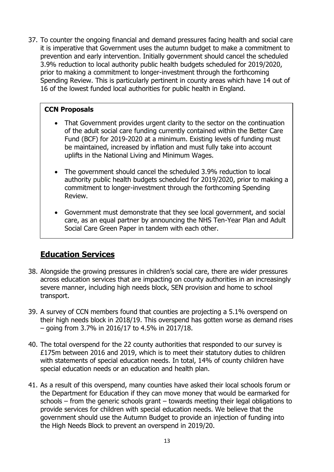37. To counter the ongoing financial and demand pressures facing health and social care it is imperative that Government uses the autumn budget to make a commitment to prevention and early intervention. Initially government should cancel the scheduled 3.9% reduction to local authority public health budgets scheduled for 2019/2020, prior to making a commitment to longer-investment through the forthcoming Spending Review. This is particularly pertinent in county areas which have 14 out of 16 of the lowest funded local authorities for public health in England.

### **CCN Proposals**

- That Government provides urgent clarity to the sector on the continuation of the adult social care funding currently contained within the Better Care Fund (BCF) for 2019-2020 at a minimum. Existing levels of funding must be maintained, increased by inflation and must fully take into account uplifts in the National Living and Minimum Wages.
- The government should cancel the scheduled 3.9% reduction to local authority public health budgets scheduled for 2019/2020, prior to making a commitment to longer-investment through the forthcoming Spending Review.
- Government must demonstrate that they see local government, and social care, as an equal partner by announcing the NHS Ten-Year Plan and Adult Social Care Green Paper in tandem with each other.

### **Education Services**

- 38. Alongside the growing pressures in children's social care, there are wider pressures across education services that are impacting on county authorities in an increasingly severe manner, including high needs block, SEN provision and home to school transport.
- 39. A survey of CCN members found that counties are projecting a 5.1% overspend on their high needs block in 2018/19. This overspend has gotten worse as demand rises – going from 3.7% in 2016/17 to 4.5% in 2017/18.
- 40. The total overspend for the 22 county authorities that responded to our survey is £175m between 2016 and 2019, which is to meet their statutory duties to children with statements of special education needs. In total, 14% of county children have special education needs or an education and health plan.
- 41. As a result of this overspend, many counties have asked their local schools forum or the Department for Education if they can move money that would be earmarked for schools – from the generic schools grant – towards meeting their legal obligations to provide services for children with special education needs. We believe that the government should use the Autumn Budget to provide an injection of funding into the High Needs Block to prevent an overspend in 2019/20.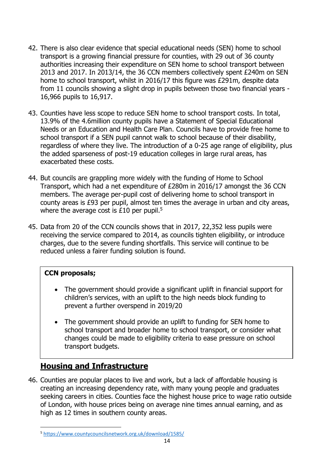- 42. There is also clear evidence that special educational needs (SEN) home to school transport is a growing financial pressure for counties, with 29 out of 36 county authorities increasing their expenditure on SEN home to school transport between 2013 and 2017. In 2013/14, the 36 CCN members collectively spent £240m on SEN home to school transport, whilst in 2016/17 this figure was £291m, despite data from 11 councils showing a slight drop in pupils between those two financial years - 16,966 pupils to 16,917.
- 43. Counties have less scope to reduce SEN home to school transport costs. In total, 13.9% of the 4.6million county pupils have a Statement of Special Educational Needs or an Education and Health Care Plan. Councils have to provide free home to school transport if a SEN pupil cannot walk to school because of their disability, regardless of where they live. The introduction of a 0-25 age range of eligibility, plus the added sparseness of post-19 education colleges in large rural areas, has exacerbated these costs.
- 44. But councils are grappling more widely with the funding of Home to School Transport, which had a net expenditure of £280m in 2016/17 amongst the 36 CCN members. The average per-pupil cost of delivering home to school transport in county areas is £93 per pupil, almost ten times the average in urban and city areas, where the average cost is  $£10$  per pupil.<sup>5</sup>
- 45. Data from 20 of the CCN councils shows that in 2017, 22,352 less pupils were receiving the service compared to 2014, as councils tighten eligibility, or introduce charges, due to the severe funding shortfalls. This service will continue to be reduced unless a fairer funding solution is found.

### **CCN proposals;**

- The government should provide a significant uplift in financial support for children's services, with an uplift to the high needs block funding to prevent a further overspend in 2019/20
- The government should provide an uplift to funding for SEN home to school transport and broader home to school transport, or consider what changes could be made to eligibility criteria to ease pressure on school transport budgets.

### **Housing and Infrastructure**

46. Counties are popular places to live and work, but a lack of affordable housing is creating an increasing dependency rate, with many young people and graduates seeking careers in cities. Counties face the highest house price to wage ratio outside of London, with house prices being on average nine times annual earning, and as high as 12 times in southern county areas.

**<sup>.</sup>** <sup>5</sup> <https://www.countycouncilsnetwork.org.uk/download/1585/>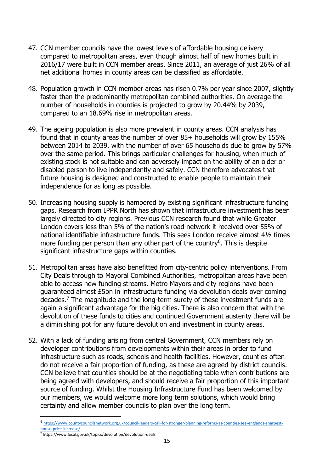- 47. CCN member councils have the lowest levels of affordable housing delivery compared to metropolitan areas, even though almost half of new homes built in 2016/17 were built in CCN member areas. Since 2011, an average of just 26% of all net additional homes in county areas can be classified as affordable.
- 48. Population growth in CCN member areas has risen 0.7% per year since 2007, slightly faster than the predominantly metropolitan combined authorities. On average the number of households in counties is projected to grow by 20.44% by 2039, compared to an 18.69% rise in metropolitan areas.
- 49. The ageing population is also more prevalent in county areas. CCN analysis has found that in county areas the number of over 85+ households will grow by 155% between 2014 to 2039, with the number of over 65 households due to grow by 57% over the same period. This brings particular challenges for housing, when much of existing stock is not suitable and can adversely impact on the ability of an older or disabled person to live independently and safely. CCN therefore advocates that future housing is designed and constructed to enable people to maintain their independence for as long as possible.
- 50. Increasing housing supply is hampered by existing significant infrastructure funding gaps. Research from IPPR North has shown that infrastructure investment has been largely directed to city regions. Previous CCN research found that while Greater London covers less than 5% of the nation's road network it received over 55% of national identifiable infrastructure funds. This sees London receive almost 4½ times more funding per person than any other part of the country<sup>6</sup>. This is despite significant infrastructure gaps within counties.
- 51. Metropolitan areas have also benefitted from city-centric policy interventions. From City Deals through to Mayoral Combined Authorities, metropolitan areas have been able to access new funding streams. Metro Mayors and city regions have been guaranteed almost £5bn in infrastructure funding via devolution deals over coming decades.<sup>7</sup> The magnitude and the long-term surety of these investment funds are again a significant advantage for the big cities. There is also concern that with the devolution of these funds to cities and continued Government austerity there will be a diminishing pot for any future devolution and investment in county areas.
- 52. With a lack of funding arising from central Government, CCN members rely on developer contributions from developments within their areas in order to fund infrastructure such as roads, schools and health facilities. However, counties often do not receive a fair proportion of funding, as these are agreed by district councils. CCN believe that counties should be at the negotiating table when contributions are being agreed with developers, and should receive a fair proportion of this important source of funding. Whilst the Housing Infrastructure Fund has been welcomed by our members, we would welcome more long term solutions, which would bring certainty and allow member councils to plan over the long term.

**.** 

<sup>6</sup> [https://www.countycouncilsnetwork.org.uk/council-leaders-call-for-stronger-planning-reforms-as-counties-see-englands-sharpest](https://www.countycouncilsnetwork.org.uk/council-leaders-call-for-stronger-planning-reforms-as-counties-see-englands-sharpest-house-price-increase/)[house-price-increase/](https://www.countycouncilsnetwork.org.uk/council-leaders-call-for-stronger-planning-reforms-as-counties-see-englands-sharpest-house-price-increase/)

 $\frac{1}{7}$  https://www.local.gov.uk/topics/devolution/devolution-deals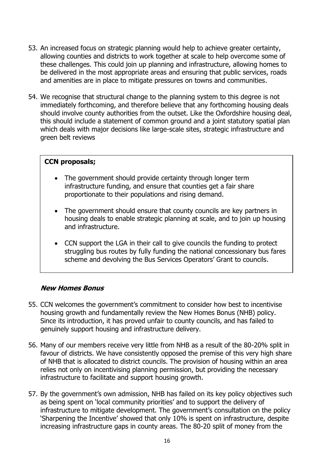- 53. An increased focus on strategic planning would help to achieve greater certainty, allowing counties and districts to work together at scale to help overcome some of these challenges. This could join up planning and infrastructure, allowing homes to be delivered in the most appropriate areas and ensuring that public services, roads and amenities are in place to mitigate pressures on towns and communities.
- 54. We recognise that structural change to the planning system to this degree is not immediately forthcoming, and therefore believe that any forthcoming housing deals should involve county authorities from the outset. Like the Oxfordshire housing deal, this should include a statement of common ground and a joint statutory spatial plan which deals with major decisions like large-scale sites, strategic infrastructure and green belt reviews

#### **CCN proposals;**

- The government should provide certainty through longer term infrastructure funding, and ensure that counties get a fair share proportionate to their populations and rising demand.
- The government should ensure that county councils are key partners in housing deals to enable strategic planning at scale, and to join up housing and infrastructure.
- CCN support the LGA in their call to give councils the funding to protect struggling bus routes by fully funding the national concessionary bus fares scheme and devolving the Bus Services Operators' Grant to councils.

#### **New Homes Bonus**

- 55. CCN welcomes the government's commitment to consider how best to incentivise housing growth and fundamentally review the New Homes Bonus (NHB) policy. Since its introduction, it has proved unfair to county councils, and has failed to genuinely support housing and infrastructure delivery.
- 56. Many of our members receive very little from NHB as a result of the 80-20% split in favour of districts. We have consistently opposed the premise of this very high share of NHB that is allocated to district councils. The provision of housing within an area relies not only on incentivising planning permission, but providing the necessary infrastructure to facilitate and support housing growth.
- 57. By the government's own admission, NHB has failed on its key policy objectives such as being spent on 'local community priorities' and to support the delivery of infrastructure to mitigate development. The government's consultation on the policy 'Sharpening the Incentive' showed that only 10% is spent on infrastructure, despite increasing infrastructure gaps in county areas. The 80-20 split of money from the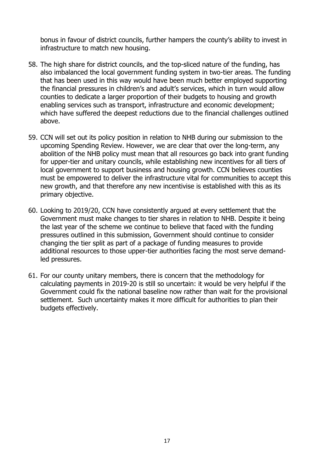bonus in favour of district councils, further hampers the county's ability to invest in infrastructure to match new housing.

- 58. The high share for district councils, and the top-sliced nature of the funding, has also imbalanced the local government funding system in two-tier areas. The funding that has been used in this way would have been much better employed supporting the financial pressures in children's and adult's services, which in turn would allow counties to dedicate a larger proportion of their budgets to housing and growth enabling services such as transport, infrastructure and economic development; which have suffered the deepest reductions due to the financial challenges outlined above.
- 59. CCN will set out its policy position in relation to NHB during our submission to the upcoming Spending Review. However, we are clear that over the long-term, any abolition of the NHB policy must mean that all resources go back into grant funding for upper-tier and unitary councils, while establishing new incentives for all tiers of local government to support business and housing growth. CCN believes counties must be empowered to deliver the infrastructure vital for communities to accept this new growth, and that therefore any new incentivise is established with this as its primary objective.
- 60. Looking to 2019/20, CCN have consistently argued at every settlement that the Government must make changes to tier shares in relation to NHB. Despite it being the last year of the scheme we continue to believe that faced with the funding pressures outlined in this submission, Government should continue to consider changing the tier split as part of a package of funding measures to provide additional resources to those upper-tier authorities facing the most serve demandled pressures.
- 61. For our county unitary members, there is concern that the methodology for calculating payments in 2019-20 is still so uncertain: it would be very helpful if the Government could fix the national baseline now rather than wait for the provisional settlement. Such uncertainty makes it more difficult for authorities to plan their budgets effectively.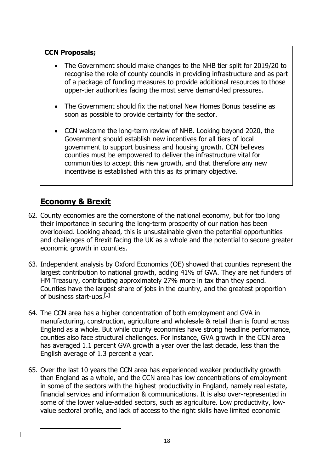### **CCN Proposals;**

- The Government should make changes to the NHB tier split for 2019/20 to recognise the role of county councils in providing infrastructure and as part of a package of funding measures to provide additional resources to those upper-tier authorities facing the most serve demand-led pressures.
- The Government should fix the national New Homes Bonus baseline as soon as possible to provide certainty for the sector.
- CCN welcome the long-term review of NHB. Looking beyond 2020, the Government should establish new incentives for all tiers of local government to support business and housing growth. CCN believes counties must be empowered to deliver the infrastructure vital for communities to accept this new growth, and that therefore any new incentivise is established with this as its primary objective.

# **Economy & Brexit**

1

- 62. County economies are the cornerstone of the national economy, but for too long their importance in securing the long-term prosperity of our nation has been overlooked. Looking ahead, this is unsustainable given the potential opportunities and challenges of Brexit facing the UK as a whole and the potential to secure greater economic growth in counties.
- 63. Independent analysis by Oxford Economics (OE) showed that counties represent the largest contribution to national growth, adding 41% of GVA. They are net funders of HM Treasury, contributing approximately 27% more in tax than they spend. Counties have the largest share of jobs in the country, and the greatest proportion of business start-ups.[1]
- 64. The CCN area has a higher concentration of both employment and GVA in manufacturing, construction, agriculture and wholesale & retail than is found across England as a whole. But while county economies have strong headline performance, counties also face structural challenges. For instance, GVA growth in the CCN area has averaged 1.1 percent GVA growth a year over the last decade, less than the English average of 1.3 percent a year.
- 65. Over the last 10 years the CCN area has experienced weaker productivity growth than England as a whole, and the CCN area has low concentrations of employment in some of the sectors with the highest productivity in England, namely real estate, financial services and information & communications. It is also over-represented in some of the lower value-added sectors, such as agriculture. Low productivity, lowvalue sectoral profile, and lack of access to the right skills have limited economic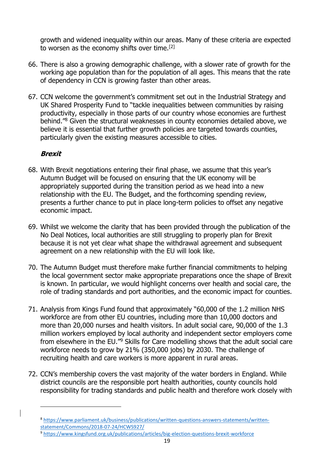growth and widened inequality within our areas. Many of these criteria are expected to worsen as the economy shifts over time.[2]

- 66. There is also a growing demographic challenge, with a slower rate of growth for the working age population than for the population of all ages. This means that the rate of dependency in CCN is growing faster than other areas.
- 67. CCN welcome the government's commitment set out in the Industrial Strategy and UK Shared Prosperity Fund to "tackle inequalities between communities by raising productivity, especially in those parts of our country whose economies are furthest behind."<sup>8</sup> Given the structural weaknesses in county economies detailed above, we believe it is essential that further growth policies are targeted towards counties, particularly given the existing measures accessible to cities.

### **Brexit**

**.** 

- 68. With Brexit negotiations entering their final phase, we assume that this year's Autumn Budget will be focused on ensuring that the UK economy will be appropriately supported during the transition period as we head into a new relationship with the EU. The Budget, and the forthcoming spending review, presents a further chance to put in place long-term policies to offset any negative economic impact.
- 69. Whilst we welcome the clarity that has been provided through the publication of the No Deal Notices, local authorities are still struggling to properly plan for Brexit because it is not yet clear what shape the withdrawal agreement and subsequent agreement on a new relationship with the EU will look like.
- 70. The Autumn Budget must therefore make further financial commitments to helping the local government sector make appropriate preparations once the shape of Brexit is known. In particular, we would highlight concerns over health and social care, the role of trading standards and port authorities, and the economic impact for counties.
- 71. Analysis from Kings Fund found that approximately "60,000 of the 1.2 million NHS workforce are from other EU countries, including more than 10,000 doctors and more than 20,000 nurses and health visitors. In adult social care, 90,000 of the 1.3 million workers employed by local authority and independent sector employers come from elsewhere in the EU."<sup>9</sup> Skills for Care modelling shows that the adult social care workforce needs to grow by 21% (350,000 jobs) by 2030. The challenge of recruiting health and care workers is more apparent in rural areas.
- 72. CCN's membership covers the vast majority of the water borders in England. While district councils are the responsible port health authorities, county councils hold responsibility for trading standards and public health and therefore work closely with

<sup>9</sup> <https://www.kingsfund.org.uk/publications/articles/big-election-questions-brexit-workforce>

<sup>8</sup> [https://www.parliament.uk/business/publications/written-questions-answers-statements/written](https://www.parliament.uk/business/publications/written-questions-answers-statements/written-statement/Commons/2018-07-24/HCWS927/)[statement/Commons/2018-07-24/HCWS927/](https://www.parliament.uk/business/publications/written-questions-answers-statements/written-statement/Commons/2018-07-24/HCWS927/)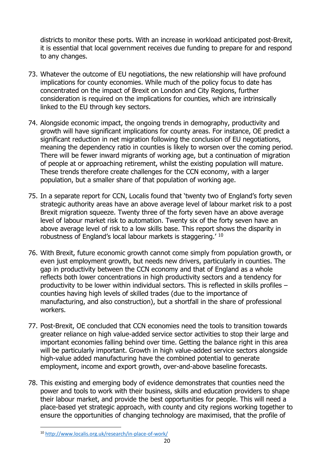districts to monitor these ports. With an increase in workload anticipated post-Brexit, it is essential that local government receives due funding to prepare for and respond to any changes.

- 73. Whatever the outcome of EU negotiations, the new relationship will have profound implications for county economies. While much of the policy focus to date has concentrated on the impact of Brexit on London and City Regions, further consideration is required on the implications for counties, which are intrinsically linked to the EU through key sectors.
- 74. Alongside economic impact, the ongoing trends in demography, productivity and growth will have significant implications for county areas. For instance, OE predict a significant reduction in net migration following the conclusion of EU negotiations, meaning the dependency ratio in counties is likely to worsen over the coming period. There will be fewer inward migrants of working age, but a continuation of migration of people at or approaching retirement, whilst the existing population will mature. These trends therefore create challenges for the CCN economy, with a larger population, but a smaller share of that population of working age.
- 75. In a separate report for CCN, Localis found that 'twenty two of England's forty seven strategic authority areas have an above average level of labour market risk to a post Brexit migration squeeze. Twenty three of the forty seven have an above average level of labour market risk to automation. Twenty six of the forty seven have an above average level of risk to a low skills base. This report shows the disparity in robustness of England's local labour markets is staggering.' <sup>10</sup>
- 76. With Brexit, future economic growth cannot come simply from population growth, or even just employment growth, but needs new drivers, particularly in counties. The gap in productivity between the CCN economy and that of England as a whole reflects both lower concentrations in high productivity sectors and a tendency for productivity to be lower within individual sectors. This is reflected in skills profiles – counties having high levels of skilled trades (due to the importance of manufacturing, and also construction), but a shortfall in the share of professional workers.
- 77. Post-Brexit, OE concluded that CCN economies need the tools to transition towards greater reliance on high value-added service sector activities to stop their large and important economies falling behind over time. Getting the balance right in this area will be particularly important. Growth in high value-added service sectors alongside high-value added manufacturing have the combined potential to generate employment, income and export growth, over-and-above baseline forecasts.
- 78. This existing and emerging body of evidence demonstrates that counties need the power and tools to work with their business, skills and education providers to shape their labour market, and provide the best opportunities for people. This will need a place-based yet strategic approach, with county and city regions working together to ensure the opportunities of changing technology are maximised, that the profile of

**<sup>.</sup>** <sup>10</sup> <http://www.localis.org.uk/research/in-place-of-work/>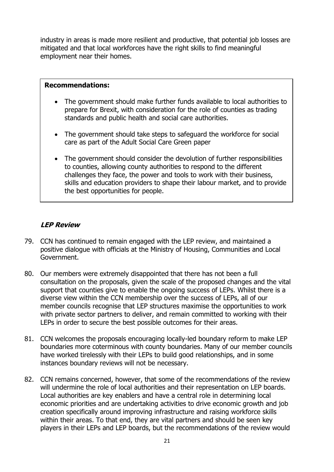industry in areas is made more resilient and productive, that potential job losses are mitigated and that local workforces have the right skills to find meaningful employment near their homes.

#### **Recommendations:**

- The government should make further funds available to local authorities to prepare for Brexit, with consideration for the role of counties as trading standards and public health and social care authorities.
- The government should take steps to safeguard the workforce for social care as part of the Adult Social Care Green paper
- The government should consider the devolution of further responsibilities to counties, allowing county authorities to respond to the different challenges they face, the power and tools to work with their business, skills and education providers to shape their labour market, and to provide the best opportunities for people.

### **LEP Review**

- 79. CCN has continued to remain engaged with the LEP review, and maintained a positive dialogue with officials at the Ministry of Housing, Communities and Local Government.
- 80. Our members were extremely disappointed that there has not been a full consultation on the proposals, given the scale of the proposed changes and the vital support that counties give to enable the ongoing success of LEPs. Whilst there is a diverse view within the CCN membership over the success of LEPs, all of our member councils recognise that LEP structures maximise the opportunities to work with private sector partners to deliver, and remain committed to working with their LEPs in order to secure the best possible outcomes for their areas.
- 81. CCN welcomes the proposals encouraging locally-led boundary reform to make LEP boundaries more coterminous with county boundaries. Many of our member councils have worked tirelessly with their LEPs to build good relationships, and in some instances boundary reviews will not be necessary.
- 82. CCN remains concerned, however, that some of the recommendations of the review will undermine the role of local authorities and their representation on LEP boards. Local authorities are key enablers and have a central role in determining local economic priorities and are undertaking activities to drive economic growth and job creation specifically around improving infrastructure and raising workforce skills within their areas. To that end, they are vital partners and should be seen key players in their LEPs and LEP boards, but the recommendations of the review would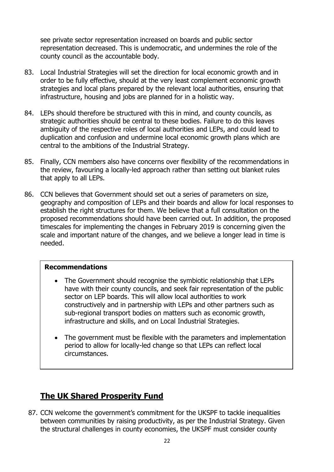see private sector representation increased on boards and public sector representation decreased. This is undemocratic, and undermines the role of the county council as the accountable body.

- 83. Local Industrial Strategies will set the direction for local economic growth and in order to be fully effective, should at the very least complement economic growth strategies and local plans prepared by the relevant local authorities, ensuring that infrastructure, housing and jobs are planned for in a holistic way.
- 84. LEPs should therefore be structured with this in mind, and county councils, as strategic authorities should be central to these bodies. Failure to do this leaves ambiguity of the respective roles of local authorities and LEPs, and could lead to duplication and confusion and undermine local economic growth plans which are central to the ambitions of the Industrial Strategy.
- 85. Finally, CCN members also have concerns over flexibility of the recommendations in the review, favouring a locally-led approach rather than setting out blanket rules that apply to all LEPs.
- 86. CCN believes that Government should set out a series of parameters on size, geography and composition of LEPs and their boards and allow for local responses to establish the right structures for them. We believe that a full consultation on the proposed recommendations should have been carried out. In addition, the proposed timescales for implementing the changes in February 2019 is concerning given the scale and important nature of the changes, and we believe a longer lead in time is needed.

#### **Recommendations**

- The Government should recognise the symbiotic relationship that LEPs have with their county councils, and seek fair representation of the public sector on LEP boards. This will allow local authorities to work constructively and in partnership with LEPs and other partners such as sub-regional transport bodies on matters such as economic growth, infrastructure and skills, and on Local Industrial Strategies.
- The government must be flexible with the parameters and implementation period to allow for locally-led change so that LEPs can reflect local circumstances.

# **The UK Shared Prosperity Fund**

87. CCN welcome the government's commitment for the UKSPF to tackle inequalities between communities by raising productivity, as per the Industrial Strategy. Given the structural challenges in county economies, the UKSPF must consider county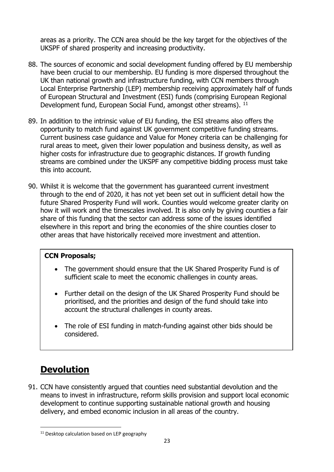areas as a priority. The CCN area should be the key target for the objectives of the UKSPF of shared prosperity and increasing productivity.

- 88. The sources of economic and social development funding offered by EU membership have been crucial to our membership. EU funding is more dispersed throughout the UK than national growth and infrastructure funding, with CCN members through Local Enterprise Partnership (LEP) membership receiving approximately half of funds of European Structural and Investment (ESI) funds (comprising European Regional Development fund, European Social Fund, amongst other streams). <sup>11</sup>
- 89. In addition to the intrinsic value of EU funding, the ESI streams also offers the opportunity to match fund against UK government competitive funding streams. Current business case guidance and Value for Money criteria can be challenging for rural areas to meet, given their lower population and business density, as well as higher costs for infrastructure due to geographic distances. If growth funding streams are combined under the UKSPF any competitive bidding process must take this into account.
- 90. Whilst it is welcome that the government has guaranteed current investment through to the end of 2020, it has not yet been set out in sufficient detail how the future Shared Prosperity Fund will work. Counties would welcome greater clarity on how it will work and the timescales involved. It is also only by giving counties a fair share of this funding that the sector can address some of the issues identified elsewhere in this report and bring the economies of the shire counties closer to other areas that have historically received more investment and attention.

### **CCN Proposals;**

- The government should ensure that the UK Shared Prosperity Fund is of sufficient scale to meet the economic challenges in county areas.
- Further detail on the design of the UK Shared Prosperity Fund should be prioritised, and the priorities and design of the fund should take into account the structural challenges in county areas.
- The role of ESI funding in match-funding against other bids should be considered.

# **Devolution**

**.** 

91. CCN have consistently argued that counties need substantial devolution and the means to invest in infrastructure, reform skills provision and support local economic development to continue supporting sustainable national growth and housing delivery, and embed economic inclusion in all areas of the country.

<sup>&</sup>lt;sup>11</sup> Desktop calculation based on LEP geography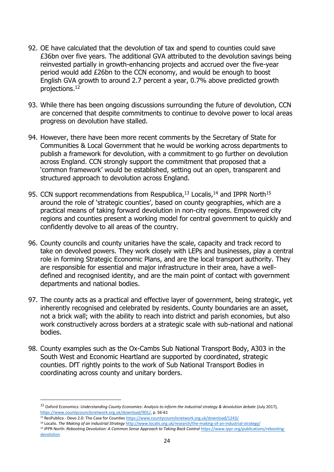- 92. OE have calculated that the devolution of tax and spend to counties could save £36bn over five years. The additional GVA attributed to the devolution savings being reinvested partially in growth-enhancing projects and accrued over the five-year period would add £26bn to the CCN economy, and would be enough to boost English GVA growth to around 2.7 percent a year, 0.7% above predicted growth projections.<sup>12</sup>
- 93. While there has been ongoing discussions surrounding the future of devolution, CCN are concerned that despite commitments to continue to devolve power to local areas progress on devolution have stalled.
- 94. However, there have been more recent comments by the Secretary of State for Communities & Local Government that he would be working across departments to publish a framework for devolution, with a commitment to go further on devolution across England. CCN strongly support the commitment that proposed that a 'common framework' would be established, setting out an open, transparent and structured approach to devolution across England.
- 95. CCN support recommendations from Respublica, $13$  Localis, $14$  and IPPR North $15$ around the role of 'strategic counties', based on county geographies, which are a practical means of taking forward devolution in non-city regions. Empowered city regions and counties present a working model for central government to quickly and confidently devolve to all areas of the country.
- 96. County councils and county unitaries have the scale, capacity and track record to take on devolved powers. They work closely with LEPs and businesses, play a central role in forming Strategic Economic Plans, and are the local transport authority. They are responsible for essential and major infrastructure in their area, have a welldefined and recognised identity, and are the main point of contact with government departments and national bodies.
- 97. The county acts as a practical and effective layer of government, being strategic, yet inherently recognised and celebrated by residents. County boundaries are an asset, not a brick wall; with the ability to reach into district and parish economies, but also work constructively across borders at a strategic scale with sub-national and national bodies.
- 98. County examples such as the Ox-Cambs Sub National Transport Body, A303 in the South West and Economic Heartland are supported by coordinated, strategic counties. DfT rightly points to the work of Sub National Transport Bodies in coordinating across county and unitary borders.

**.** 

<sup>14</sup> Localis. *The Making of an Industrial Strategy* <http://www.localis.org.uk/research/the-making-of-an-industrial-strategy/>

<sup>12</sup> Oxford Economics: *Understanding County Economies: Analysis to inform the industrial strategy & devolution debate* (July 2017), [https://www.countycouncilsnetwork.org.uk/download/901/,](https://www.countycouncilsnetwork.org.uk/download/901/) p. 56-61

<sup>13</sup> ResPublica - Devo 2.0: The Case for Counties <https://www.countycouncilsnetwork.org.uk/download/1243/>

<sup>&</sup>lt;sup>15</sup> IPPR North: Rebooting Devolution: A Common Sense Approach to Taking Back Control [https://www.ippr.org/publications/rebooting](https://www.ippr.org/publications/rebooting-devolution)[devolution](https://www.ippr.org/publications/rebooting-devolution)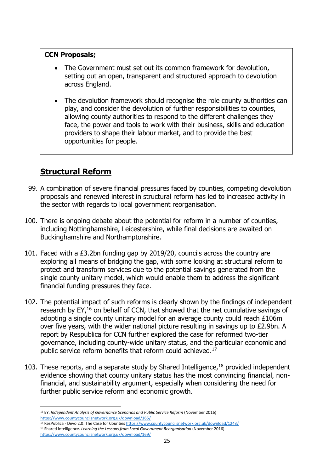### **CCN Proposals;**

- The Government must set out its common framework for devolution, setting out an open, transparent and structured approach to devolution across England.
- The devolution framework should recognise the role county authorities can play, and consider the devolution of further responsibilities to counties, allowing county authorities to respond to the different challenges they face, the power and tools to work with their business, skills and education providers to shape their labour market, and to provide the best opportunities for people.

# **Structural Reform**

- 99. A combination of severe financial pressures faced by counties, competing devolution proposals and renewed interest in structural reform has led to increased activity in the sector with regards to local government reorganisation.
- 100. There is ongoing debate about the potential for reform in a number of counties, including Nottinghamshire, Leicestershire, while final decisions are awaited on Buckinghamshire and Northamptonshire.
- 101. Faced with a £3.2bn funding gap by 2019/20, councils across the country are exploring all means of bridging the gap, with some looking at structural reform to protect and transform services due to the potential savings generated from the single county unitary model, which would enable them to address the significant financial funding pressures they face.
- 102. The potential impact of such reforms is clearly shown by the findings of independent research by EY,<sup>16</sup> on behalf of CCN, that showed that the net cumulative savings of adopting a single county unitary model for an average county could reach £106m over five years, with the wider national picture resulting in savings up to £2.9bn. A report by Respublica for CCN further explored the case for reformed two-tier governance, including county-wide unitary status, and the particular economic and public service reform benefits that reform could achieved.<sup>17</sup>
- 103. These reports, and a separate study by Shared Intelligence,  $18$  provided independent evidence showing that county unitary status has the most convincing financial, nonfinancial, and sustainability argument, especially when considering the need for further public service reform and economic growth.

**<sup>.</sup>** <sup>16</sup> EY. *Independent Analysis of Governance Scenarios and Public Service Reform* (November 2016) <https://www.countycouncilsnetwork.org.uk/download/165/>

<sup>17</sup> ResPublica - Devo 2.0: The Case for Counties <https://www.countycouncilsnetwork.org.uk/download/1243/> <sup>18</sup> Shared Intelligence. *Learning the Lessons from Local Government Reorganisation* (November 2016) <https://www.countycouncilsnetwork.org.uk/download/169/>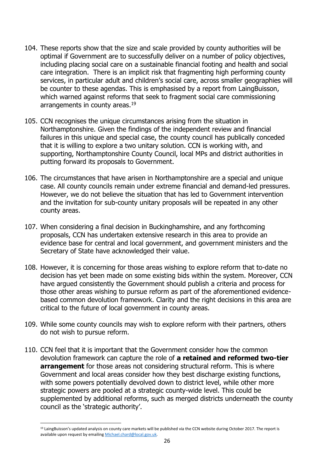- 104. These reports show that the size and scale provided by county authorities will be optimal if Government are to successfully deliver on a number of policy objectives, including placing social care on a sustainable financial footing and health and social care integration. There is an implicit risk that fragmenting high performing county services, in particular adult and children's social care, across smaller geographies will be counter to these agendas. This is emphasised by a report from LaingBuisson, which warned against reforms that seek to fragment social care commissioning arrangements in county areas.<sup>19</sup>
- 105. CCN recognises the unique circumstances arising from the situation in Northamptonshire. Given the findings of the independent review and financial failures in this unique and special case, the county council has publically conceded that it is willing to explore a two unitary solution. CCN is working with, and supporting, Northamptonshire County Council, local MPs and district authorities in putting forward its proposals to Government.
- 106. The circumstances that have arisen in Northamptonshire are a special and unique case. All county councils remain under extreme financial and demand-led pressures. However, we do not believe the situation that has led to Government intervention and the invitation for sub-county unitary proposals will be repeated in any other county areas.
- 107. When considering a final decision in Buckinghamshire, and any forthcoming proposals, CCN has undertaken extensive research in this area to provide an evidence base for central and local government, and government ministers and the Secretary of State have acknowledged their value.
- 108. However, it is concerning for those areas wishing to explore reform that to-date no decision has yet been made on some existing bids within the system. Moreover, CCN have argued consistently the Government should publish a criteria and process for those other areas wishing to pursue reform as part of the aforementioned evidencebased common devolution framework. Clarity and the right decisions in this area are critical to the future of local government in county areas.
- 109. While some county councils may wish to explore reform with their partners, others do not wish to pursue reform.
- 110. CCN feel that it is important that the Government consider how the common devolution framework can capture the role of **a retained and reformed two-tier arrangement** for those areas not considering structural reform. This is where Government and local areas consider how they best discharge existing functions, with some powers potentially devolved down to district level, while other more strategic powers are pooled at a strategic county-wide level. This could be supplemented by additional reforms, such as merged districts underneath the county council as the 'strategic authority'.

**.** 

<sup>&</sup>lt;sup>19</sup> LaingBuisson's updated analysis on county care markets will be published via the CCN website during October 2017. The report is available upon request by emailin[g Michael.chard@local.gov.uk.](mailto:Michael.chard@local.gov.uk)